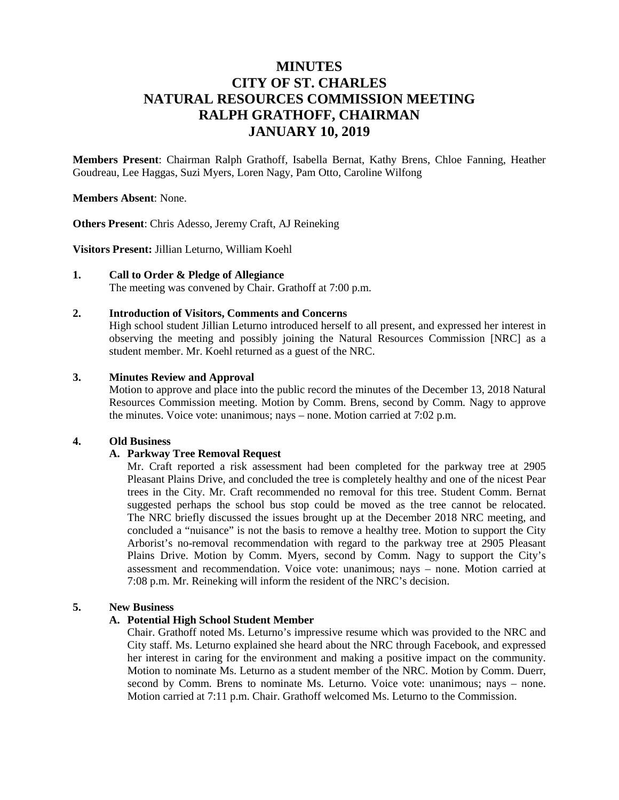# **MINUTES CITY OF ST. CHARLES NATURAL RESOURCES COMMISSION MEETING RALPH GRATHOFF, CHAIRMAN JANUARY 10, 2019**

**Members Present**: Chairman Ralph Grathoff, Isabella Bernat, Kathy Brens, Chloe Fanning, Heather Goudreau, Lee Haggas, Suzi Myers, Loren Nagy, Pam Otto, Caroline Wilfong

#### **Members Absent**: None.

**Others Present**: Chris Adesso, Jeremy Craft, AJ Reineking

**Visitors Present:** Jillian Leturno, William Koehl

#### **1. Call to Order & Pledge of Allegiance**

The meeting was convened by Chair. Grathoff at 7:00 p.m.

## **2. Introduction of Visitors, Comments and Concerns**

High school student Jillian Leturno introduced herself to all present, and expressed her interest in observing the meeting and possibly joining the Natural Resources Commission [NRC] as a student member. Mr. Koehl returned as a guest of the NRC.

# **3. Minutes Review and Approval**

Motion to approve and place into the public record the minutes of the December 13, 2018 Natural Resources Commission meeting. Motion by Comm. Brens, second by Comm. Nagy to approve the minutes. Voice vote: unanimous; nays – none. Motion carried at 7:02 p.m.

#### **4. Old Business**

#### **A. Parkway Tree Removal Request**

Mr. Craft reported a risk assessment had been completed for the parkway tree at 2905 Pleasant Plains Drive, and concluded the tree is completely healthy and one of the nicest Pear trees in the City. Mr. Craft recommended no removal for this tree. Student Comm. Bernat suggested perhaps the school bus stop could be moved as the tree cannot be relocated. The NRC briefly discussed the issues brought up at the December 2018 NRC meeting, and concluded a "nuisance" is not the basis to remove a healthy tree. Motion to support the City Arborist's no-removal recommendation with regard to the parkway tree at 2905 Pleasant Plains Drive. Motion by Comm. Myers, second by Comm. Nagy to support the City's assessment and recommendation. Voice vote: unanimous; nays – none. Motion carried at 7:08 p.m. Mr. Reineking will inform the resident of the NRC's decision.

# **5. New Business**

#### **A. Potential High School Student Member**

Chair. Grathoff noted Ms. Leturno's impressive resume which was provided to the NRC and City staff. Ms. Leturno explained she heard about the NRC through Facebook, and expressed her interest in caring for the environment and making a positive impact on the community. Motion to nominate Ms. Leturno as a student member of the NRC. Motion by Comm. Duerr, second by Comm. Brens to nominate Ms. Leturno. Voice vote: unanimous; nays – none. Motion carried at 7:11 p.m. Chair. Grathoff welcomed Ms. Leturno to the Commission.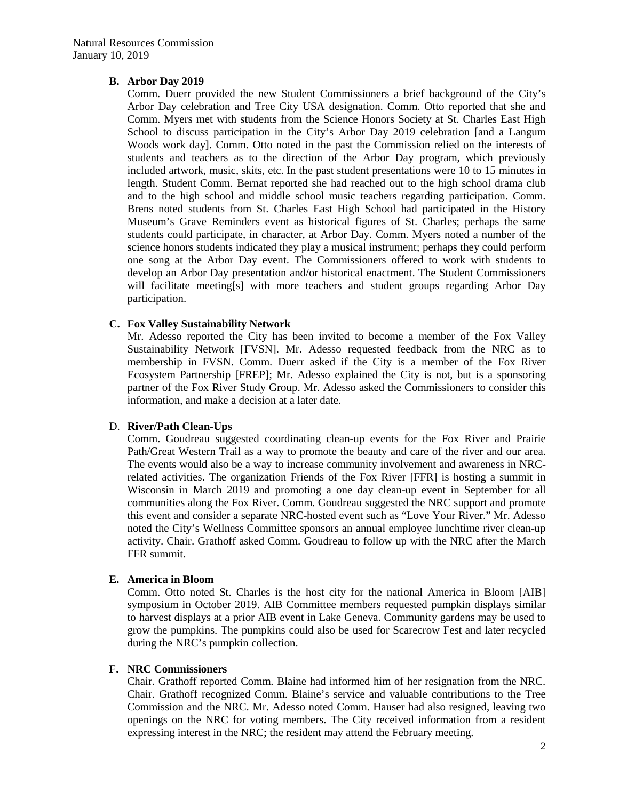# **B. Arbor Day 2019**

Comm. Duerr provided the new Student Commissioners a brief background of the City's Arbor Day celebration and Tree City USA designation. Comm. Otto reported that she and Comm. Myers met with students from the Science Honors Society at St. Charles East High School to discuss participation in the City's Arbor Day 2019 celebration [and a Langum Woods work day]. Comm. Otto noted in the past the Commission relied on the interests of students and teachers as to the direction of the Arbor Day program, which previously included artwork, music, skits, etc. In the past student presentations were 10 to 15 minutes in length. Student Comm. Bernat reported she had reached out to the high school drama club and to the high school and middle school music teachers regarding participation. Comm. Brens noted students from St. Charles East High School had participated in the History Museum's Grave Reminders event as historical figures of St. Charles; perhaps the same students could participate, in character, at Arbor Day. Comm. Myers noted a number of the science honors students indicated they play a musical instrument; perhaps they could perform one song at the Arbor Day event. The Commissioners offered to work with students to develop an Arbor Day presentation and/or historical enactment. The Student Commissioners will facilitate meeting[s] with more teachers and student groups regarding Arbor Day participation.

# **C. Fox Valley Sustainability Network**

Mr. Adesso reported the City has been invited to become a member of the Fox Valley Sustainability Network [FVSN]. Mr. Adesso requested feedback from the NRC as to membership in FVSN. Comm. Duerr asked if the City is a member of the Fox River Ecosystem Partnership [FREP]; Mr. Adesso explained the City is not, but is a sponsoring partner of the Fox River Study Group. Mr. Adesso asked the Commissioners to consider this information, and make a decision at a later date.

#### D. **River/Path Clean-Ups**

Comm. Goudreau suggested coordinating clean-up events for the Fox River and Prairie Path/Great Western Trail as a way to promote the beauty and care of the river and our area. The events would also be a way to increase community involvement and awareness in NRCrelated activities. The organization Friends of the Fox River [FFR] is hosting a summit in Wisconsin in March 2019 and promoting a one day clean-up event in September for all communities along the Fox River. Comm. Goudreau suggested the NRC support and promote this event and consider a separate NRC-hosted event such as "Love Your River." Mr. Adesso noted the City's Wellness Committee sponsors an annual employee lunchtime river clean-up activity. Chair. Grathoff asked Comm. Goudreau to follow up with the NRC after the March FFR summit.

#### **E. America in Bloom**

Comm. Otto noted St. Charles is the host city for the national America in Bloom [AIB] symposium in October 2019. AIB Committee members requested pumpkin displays similar to harvest displays at a prior AIB event in Lake Geneva. Community gardens may be used to grow the pumpkins. The pumpkins could also be used for Scarecrow Fest and later recycled during the NRC's pumpkin collection.

# **F. NRC Commissioners**

Chair. Grathoff reported Comm. Blaine had informed him of her resignation from the NRC. Chair. Grathoff recognized Comm. Blaine's service and valuable contributions to the Tree Commission and the NRC. Mr. Adesso noted Comm. Hauser had also resigned, leaving two openings on the NRC for voting members. The City received information from a resident expressing interest in the NRC; the resident may attend the February meeting.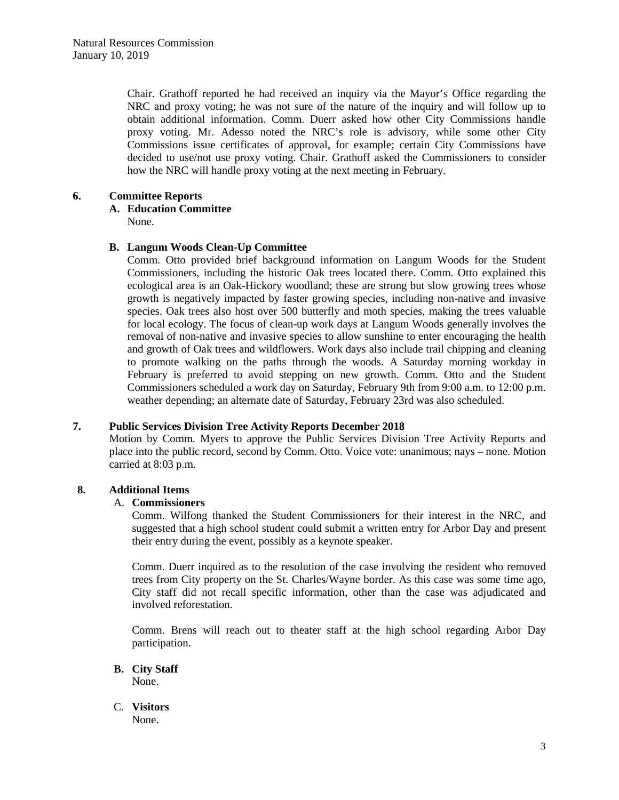Chair. Grathoff reported he had received an inquiry via the Mayor's Office regarding the NRC and proxy voting; he was not sure of the nature of the inquiry and will follow up to obtain additional information. Comm. Duerr asked how other City Commissions handle proxy voting. Mr. Adesso noted the NRC's role is advisory, while some other City Commissions issue certificates of approval, for example; certain City Commissions have decided to use/not use proxy voting. Chair. Grathoff asked the Commissioners to consider how the NRC will handle proxy voting at the next meeting in February.

# **6. Committee Reports**

# **A. Education Committee**

None.

# **B. Langum Woods Clean-Up Committee**

Comm. Otto provided brief background information on Langum Woods for the Student Commissioners, including the historic Oak trees located there. Comm. Otto explained this ecological area is an Oak-Hickory woodland; these are strong but slow growing trees whose growth is negatively impacted by faster growing species, including non-native and invasive species. Oak trees also host over 500 butterfly and moth species, making the trees valuable for local ecology. The focus of clean-up work days at Langum Woods generally involves the removal of non-native and invasive species to allow sunshine to enter encouraging the health and growth of Oak trees and wildflowers. Work days also include trail chipping and cleaning to promote walking on the paths through the woods. A Saturday morning workday in February is preferred to avoid stepping on new growth. Comm. Otto and the Student Commissioners scheduled a work day on Saturday, February 9th from 9:00 a.m. to 12:00 p.m. weather depending; an alternate date of Saturday, February 23rd was also scheduled.

# **7. Public Services Division Tree Activity Reports December 2018**

Motion by Comm. Myers to approve the Public Services Division Tree Activity Reports and place into the public record, second by Comm. Otto. Voice vote: unanimous; nays – none. Motion carried at 8:03 p.m.

# **8. Additional Items**

# A. **Commissioners**

Comm. Wilfong thanked the Student Commissioners for their interest in the NRC, and suggested that a high school student could submit a written entry for Arbor Day and present their entry during the event, possibly as a keynote speaker.

Comm. Duerr inquired as to the resolution of the case involving the resident who removed trees from City property on the St. Charles/Wayne border. As this case was some time ago, City staff did not recall specific information, other than the case was adjudicated and involved reforestation.

Comm. Brens will reach out to theater staff at the high school regarding Arbor Day participation.

**B. City Staff** 

None.

C. **Visitors**  None.